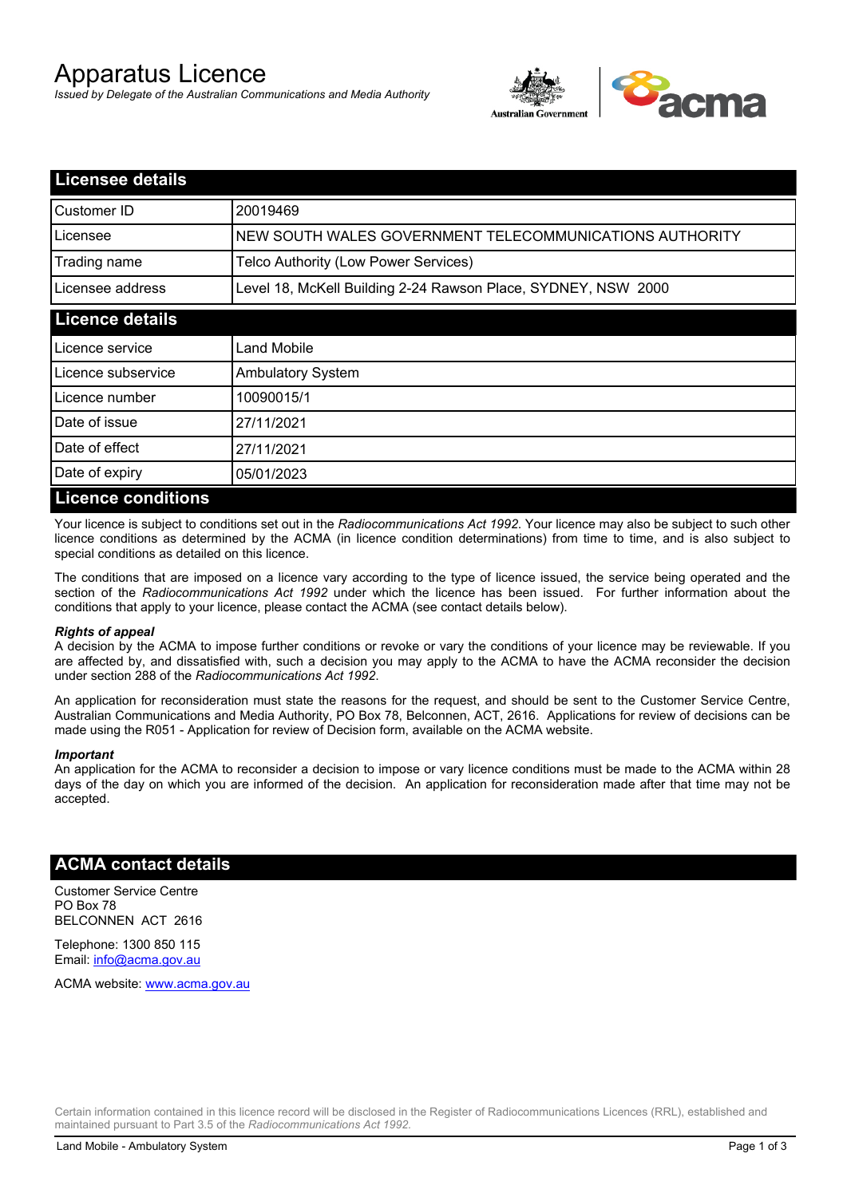# Apparatus Licence

*Issued by Delegate of the Australian Communications and Media Authority*



| <b>Licensee details</b>   |                                                               |  |
|---------------------------|---------------------------------------------------------------|--|
| Customer ID               | 20019469                                                      |  |
| Licensee                  | NEW SOUTH WALES GOVERNMENT TELECOMMUNICATIONS AUTHORITY       |  |
| Trading name              | Telco Authority (Low Power Services)                          |  |
| Licensee address          | Level 18, McKell Building 2-24 Rawson Place, SYDNEY, NSW 2000 |  |
| <b>Licence details</b>    |                                                               |  |
| Licence service           | Land Mobile                                                   |  |
| Licence subservice        | <b>Ambulatory System</b>                                      |  |
| Licence number            | 10090015/1                                                    |  |
| Date of issue             | 27/11/2021                                                    |  |
| Date of effect            | 27/11/2021                                                    |  |
| Date of expiry            | 05/01/2023                                                    |  |
| <b>Licence conditions</b> |                                                               |  |

Your licence is subject to conditions set out in the *Radiocommunications Act 1992*. Your licence may also be subject to such other licence conditions as determined by the ACMA (in licence condition determinations) from time to time, and is also subject to special conditions as detailed on this licence.

The conditions that are imposed on a licence vary according to the type of licence issued, the service being operated and the section of the *Radiocommunications Act 1992* under which the licence has been issued. For further information about the conditions that apply to your licence, please contact the ACMA (see contact details below).

#### *Rights of appeal*

A decision by the ACMA to impose further conditions or revoke or vary the conditions of your licence may be reviewable. If you are affected by, and dissatisfied with, such a decision you may apply to the ACMA to have the ACMA reconsider the decision under section 288 of the *Radiocommunications Act 1992*.

An application for reconsideration must state the reasons for the request, and should be sent to the Customer Service Centre, Australian Communications and Media Authority, PO Box 78, Belconnen, ACT, 2616. Applications for review of decisions can be made using the R051 - Application for review of Decision form, available on the ACMA website.

#### *Important*

An application for the ACMA to reconsider a decision to impose or vary licence conditions must be made to the ACMA within 28 days of the day on which you are informed of the decision. An application for reconsideration made after that time may not be accepted.

### **ACMA contact details**

Customer Service Centre PO Box 78 BELCONNEN ACT 2616

Telephone: 1300 850 115 Email: info@acma.gov.au

ACMA website: www.acma.gov.au

Certain information contained in this licence record will be disclosed in the Register of Radiocommunications Licences (RRL), established and maintained pursuant to Part 3.5 of the *Radiocommunications Act 1992.*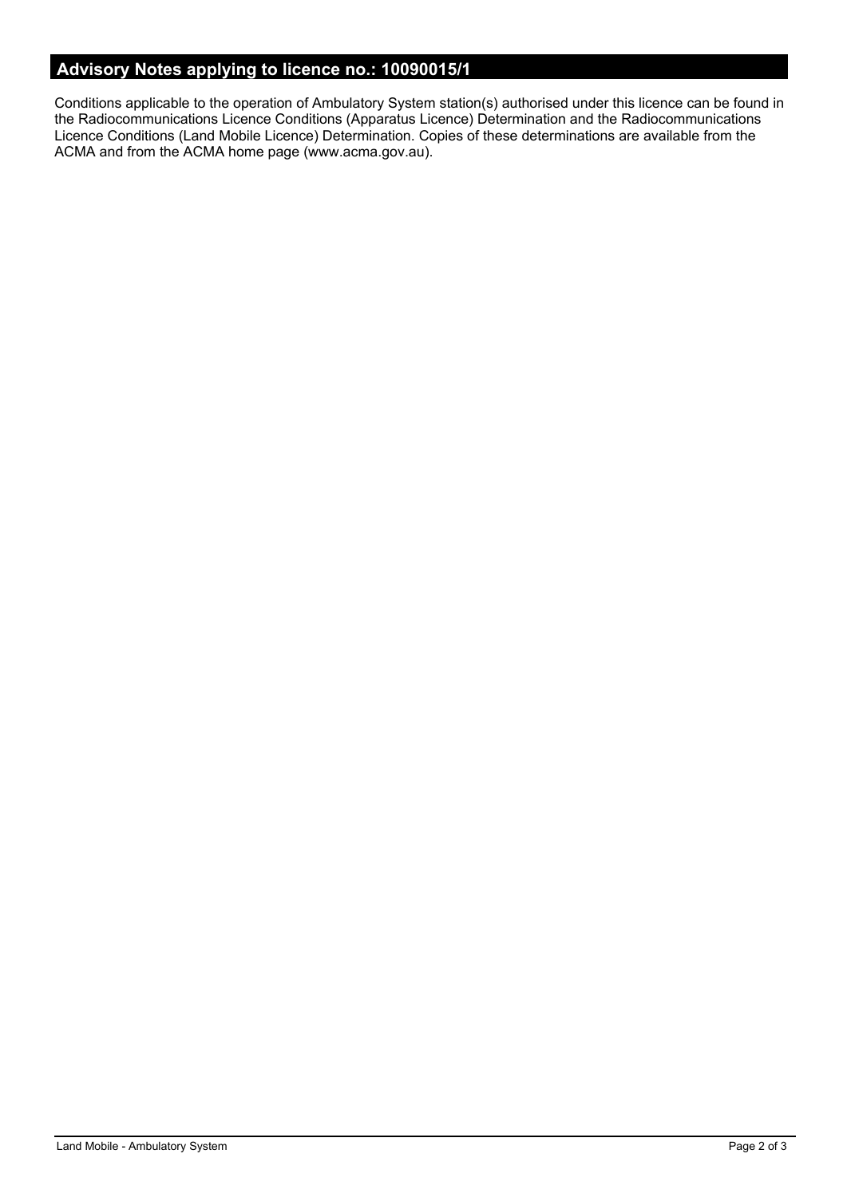# **Advisory Notes applying to licence no.: 10090015/1**

Conditions applicable to the operation of Ambulatory System station(s) authorised under this licence can be found in the Radiocommunications Licence Conditions (Apparatus Licence) Determination and the Radiocommunications Licence Conditions (Land Mobile Licence) Determination. Copies of these determinations are available from the ACMA and from the ACMA home page (www.acma.gov.au).